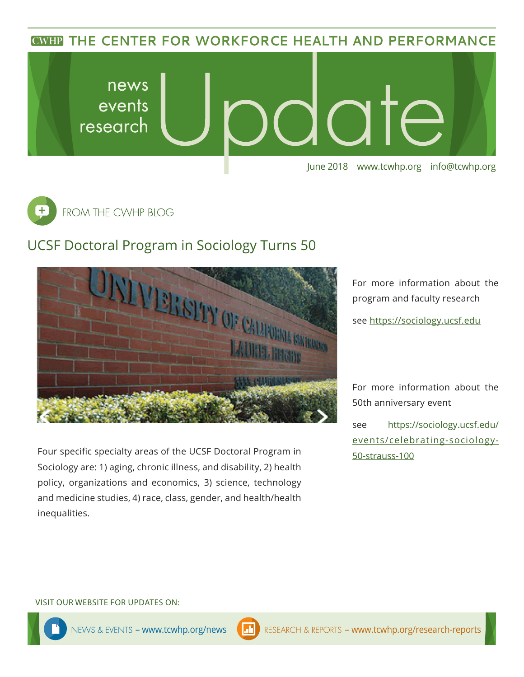**CWHP THE CENTER FOR WORKFORCE HEALTH AND PERFORMANCE** 





## UCSF Doctoral Program in Sociology Turns 50



Four specific specialty areas of the UCSF Doctoral Program in Sociology are: 1) aging, chronic illness, and disability, 2) health policy, organizations and economics, 3) science, technology and medicine studies, 4) race, class, gender, and health/health inequalities.

For more information about the program and faculty research see <https://sociology.ucsf.edu>

For more information about the 50th anniversary event

see [https://sociology.ucsf.edu/](https://sociology.ucsf.edu/events/celebrating-sociology-50-strauss-100) [events/celebrating-sociology-](https://sociology.ucsf.edu/events/celebrating-sociology-50-strauss-100)[50-strauss-100](https://sociology.ucsf.edu/events/celebrating-sociology-50-strauss-100)

#### VISIT OUR WEBSITE FOR UPDATES ON: